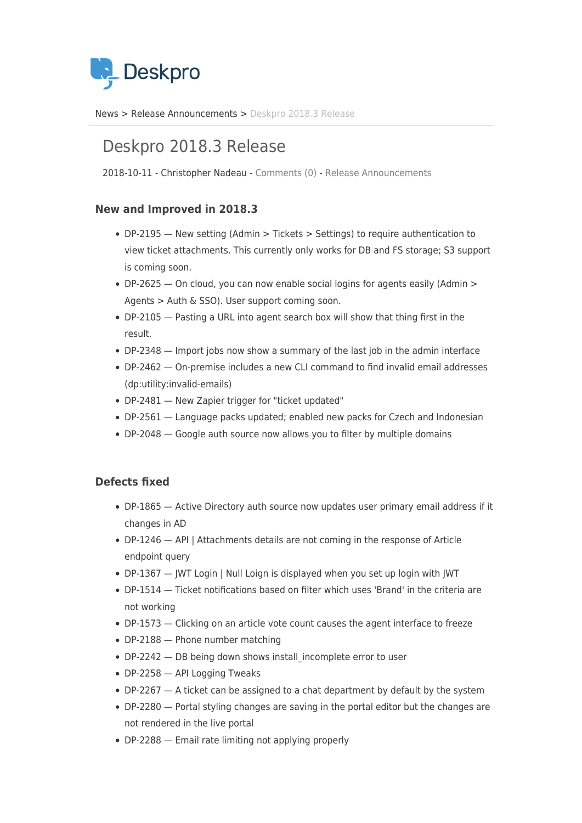

[News](https://support.deskpro.com/zh-CN/news) > [Release Announcements](https://support.deskpro.com/zh-CN/news/release-announcements) > [Deskpro 2018.3 Release](https://support.deskpro.com/zh-CN/news/posts/deskpro-2018-3-release)

## Deskpro 2018.3 Release

2018-10-11 - Christopher Nadeau - [Comments \(0\)](#page--1-0) - [Release Announcements](https://support.deskpro.com/zh-CN/news/release-announcements)

## **New and Improved in 2018.3**

- DP-2195 New setting (Admin > Tickets > Settings) to require authentication to view ticket attachments. This currently only works for DB and FS storage; S3 support is coming soon.
- DP-2625 On cloud, you can now enable social logins for agents easily (Admin > Agents > Auth & SSO). User support coming soon.
- DP-2105 Pasting a URL into agent search box will show that thing first in the result.
- DP-2348 Import jobs now show a summary of the last job in the admin interface
- DP-2462 On-premise includes a new CLI command to find invalid email addresses (dp:utility:invalid-emails)
- DP-2481 New Zapier trigger for "ticket updated"
- DP-2561 Language packs updated; enabled new packs for Czech and Indonesian
- DP-2048 Google auth source now allows you to filter by multiple domains

## **Defects fixed**

- DP-1865 Active Directory auth source now updates user primary email address if it changes in AD
- DP-1246 API | Attachments details are not coming in the response of Article endpoint query
- DP-1367 JWT Login | Null Loign is displayed when you set up login with JWT
- DP-1514 Ticket notifications based on filter which uses 'Brand' in the criteria are not working
- DP-1573 Clicking on an article vote count causes the agent interface to freeze
- DP-2188 Phone number matching
- DP-2242 DB being down shows install incomplete error to user
- DP-2258 API Logging Tweaks
- DP-2267 A ticket can be assigned to a chat department by default by the system
- DP-2280 Portal styling changes are saving in the portal editor but the changes are not rendered in the live portal
- DP-2288 Email rate limiting not applying properly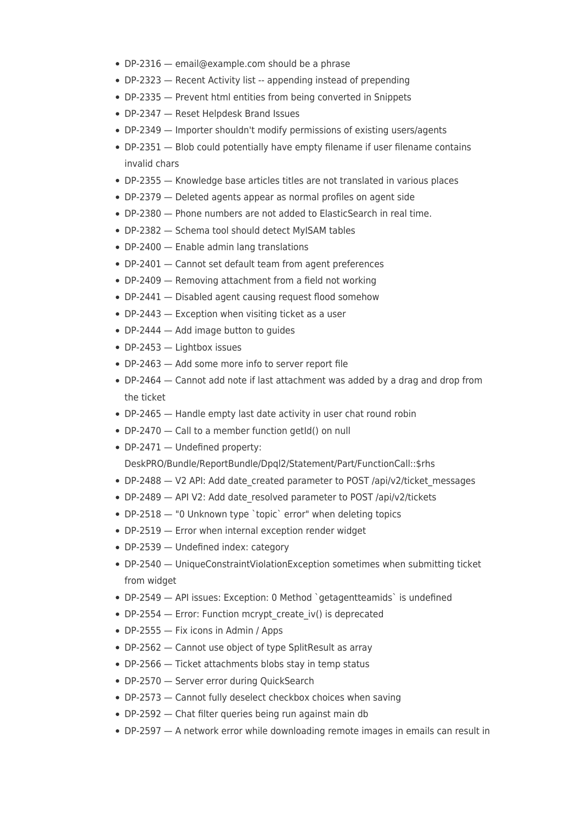- DP-2316 email@example.com should be a phrase
- DP-2323 Recent Activity list -- appending instead of prepending
- DP-2335 Prevent html entities from being converted in Snippets
- DP-2347 Reset Helpdesk Brand Issues
- DP-2349 Importer shouldn't modify permissions of existing users/agents
- DP-2351 Blob could potentially have empty filename if user filename contains invalid chars
- DP-2355 Knowledge base articles titles are not translated in various places
- DP-2379 Deleted agents appear as normal profiles on agent side
- DP-2380 Phone numbers are not added to ElasticSearch in real time.
- DP-2382 Schema tool should detect MyISAM tables
- DP-2400 Enable admin lang translations
- DP-2401 Cannot set default team from agent preferences
- DP-2409 Removing attachment from a field not working
- DP-2441 Disabled agent causing request flood somehow
- DP-2443 Exception when visiting ticket as a user
- DP-2444 Add image button to guides
- DP-2453 Lightbox issues
- DP-2463 Add some more info to server report file
- DP-2464 Cannot add note if last attachment was added by a drag and drop from the ticket
- DP-2465 Handle empty last date activity in user chat round robin
- DP-2470 Call to a member function getId() on null
- DP-2471 Undefined property:

DeskPRO/Bundle/ReportBundle/Dpql2/Statement/Part/FunctionCall::\$rhs

- DP-2488 V2 API: Add date created parameter to POST /api/v2/ticket messages
- DP-2489 API V2: Add date resolved parameter to POST /api/v2/tickets
- DP-2518 "0 Unknown type `topic` error" when deleting topics
- DP-2519 Error when internal exception render widget
- DP-2539 Undefined index: category
- DP-2540 UniqueConstraintViolationException sometimes when submitting ticket from widget
- DP-2549 API issues: Exception: 0 Method `getagentteamids` is undefined
- DP-2554 Error: Function mcrypt create iv() is deprecated
- DP-2555 Fix icons in Admin / Apps
- DP-2562 Cannot use object of type SplitResult as array
- DP-2566 Ticket attachments blobs stay in temp status
- DP-2570 Server error during QuickSearch
- DP-2573 Cannot fully deselect checkbox choices when saving
- DP-2592 Chat filter queries being run against main db
- DP-2597 A network error while downloading remote images in emails can result in